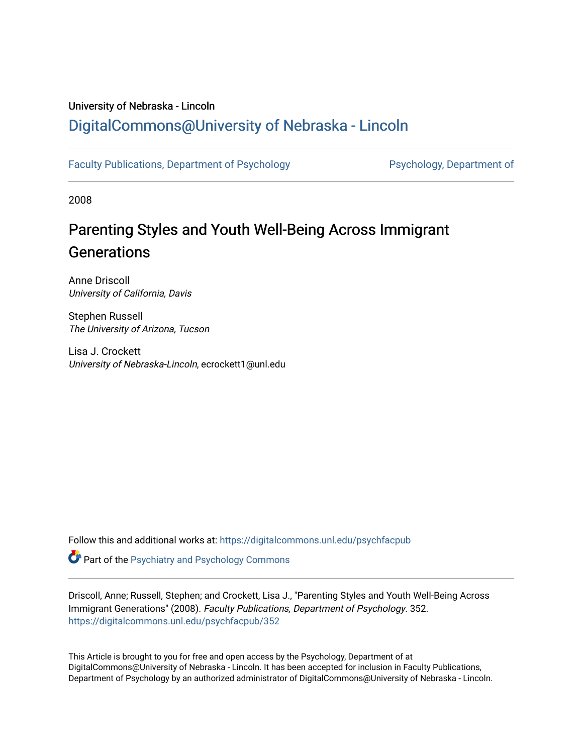## University of Nebraska - Lincoln [DigitalCommons@University of Nebraska - Lincoln](https://digitalcommons.unl.edu/)

[Faculty Publications, Department of Psychology](https://digitalcommons.unl.edu/psychfacpub) Psychology, Department of

2008

# Parenting Styles and Youth Well-Being Across Immigrant **Generations**

Anne Driscoll University of California, Davis

Stephen Russell The University of Arizona, Tucson

Lisa J. Crockett University of Nebraska-Lincoln, ecrockett1@unl.edu

Follow this and additional works at: [https://digitalcommons.unl.edu/psychfacpub](https://digitalcommons.unl.edu/psychfacpub?utm_source=digitalcommons.unl.edu%2Fpsychfacpub%2F352&utm_medium=PDF&utm_campaign=PDFCoverPages) 

**Part of the Psychiatry and Psychology Commons** 

Driscoll, Anne; Russell, Stephen; and Crockett, Lisa J., "Parenting Styles and Youth Well-Being Across Immigrant Generations" (2008). Faculty Publications, Department of Psychology. 352. [https://digitalcommons.unl.edu/psychfacpub/352](https://digitalcommons.unl.edu/psychfacpub/352?utm_source=digitalcommons.unl.edu%2Fpsychfacpub%2F352&utm_medium=PDF&utm_campaign=PDFCoverPages) 

This Article is brought to you for free and open access by the Psychology, Department of at DigitalCommons@University of Nebraska - Lincoln. It has been accepted for inclusion in Faculty Publications, Department of Psychology by an authorized administrator of DigitalCommons@University of Nebraska - Lincoln.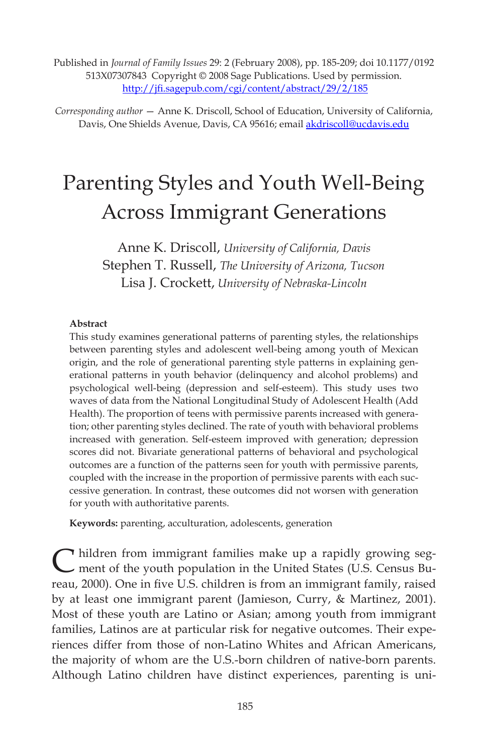Published in *Journal of Family Issues* 29: 2 (February 2008), pp. 185-209; doi 10.1177/0192 513X07307843 Copyright © 2008 Sage Publications. Used by permission. http://jfi.sagepub.com/cgi/content/abstract/29/2/185

*Corresponding author* — Anne K. Driscoll, School of Education, University of California, Davis, One Shields Avenue, Davis, CA 95616; email akdriscoll@ucdavis.edu

## Parenting Styles and Youth Well-Being Across Immigrant Generations

Anne K. Driscoll, *University of California, Davis* Stephen T. Russell, *The University of Arizona, Tucson* Lisa J. Crockett, *University of Nebraska-Lincoln*

#### **Abstract**

This study examines generational patterns of parenting styles, the relationships between parenting styles and adolescent well-being among youth of Mexican origin, and the role of generational parenting style patterns in explaining generational patterns in youth behavior (delinquency and alcohol problems) and psychological well-being (depression and self-esteem). This study uses two waves of data from the National Longitudinal Study of Adolescent Health (Add Health). The proportion of teens with permissive parents increased with generation; other parenting styles declined. The rate of youth with behavioral problems increased with generation. Self-esteem improved with generation; depression scores did not. Bivariate generational patterns of behavioral and psychological outcomes are a function of the patterns seen for youth with permissive parents, coupled with the increase in the proportion of permissive parents with each successive generation. In contrast, these outcomes did not worsen with generation for youth with authoritative parents.

**Keywords:** parenting, acculturation, adolescents, generation

Children from immigrant families make up <sup>a</sup> rapidly growing seg-ment of the youth population in the United States (U.S. Census Bureau, 2000). One in five U.S. children is from an immigrant family, raised by at least one immigrant parent (Jamieson, Curry, & Martinez, 2001). Most of these youth are Latino or Asian; among youth from immigrant families, Latinos are at particular risk for negative outcomes. Their experiences differ from those of non-Latino Whites and African Americans, the majority of whom are the U.S.-born children of native-born parents. Although Latino children have distinct experiences, parenting is uni-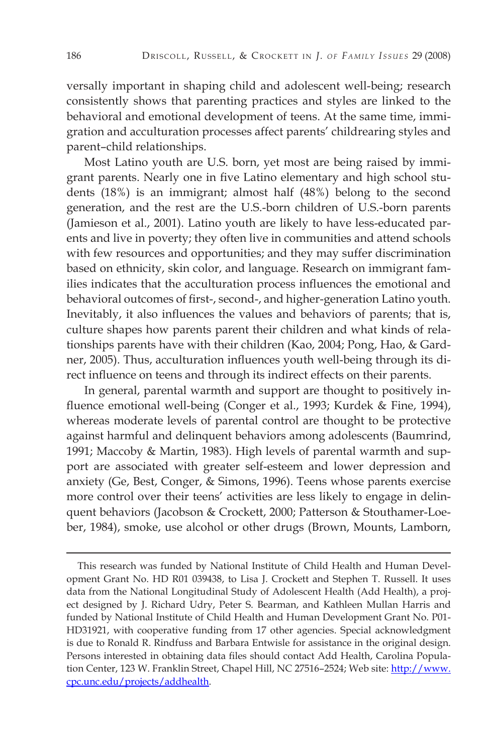versally important in shaping child and adolescent well-being; research consistently shows that parenting practices and styles are linked to the behavioral and emotional development of teens. At the same time, immigration and acculturation processes affect parents' childrearing styles and parent–child relationships.

Most Latino youth are U.S. born, yet most are being raised by immigrant parents. Nearly one in five Latino elementary and high school students (18%) is an immigrant; almost half (48%) belong to the second generation, and the rest are the U.S.-born children of U.S.-born parents (Jamieson et al., 2001). Latino youth are likely to have less-educated parents and live in poverty; they often live in communities and attend schools with few resources and opportunities; and they may suffer discrimination based on ethnicity, skin color, and language. Research on immigrant families indicates that the acculturation process influences the emotional and behavioral outcomes of first-, second-, and higher-generation Latino youth. Inevitably, it also influences the values and behaviors of parents; that is, culture shapes how parents parent their children and what kinds of relationships parents have with their children (Kao, 2004; Pong, Hao, & Gardner, 2005). Thus, acculturation influences youth well-being through its direct influence on teens and through its indirect effects on their parents.

In general, parental warmth and support are thought to positively influence emotional well-being (Conger et al., 1993; Kurdek & Fine, 1994), whereas moderate levels of parental control are thought to be protective against harmful and delinquent behaviors among adolescents (Baumrind, 1991; Maccoby & Martin, 1983). High levels of parental warmth and support are associated with greater self-esteem and lower depression and anxiety (Ge, Best, Conger, & Simons, 1996). Teens whose parents exercise more control over their teens' activities are less likely to engage in delinquent behaviors (Jacobson & Crockett, 2000; Patterson & Stouthamer-Loeber, 1984), smoke, use alcohol or other drugs (Brown, Mounts, Lamborn,

This research was funded by National Institute of Child Health and Human Development Grant No. HD R01 039438, to Lisa J. Crockett and Stephen T. Russell. It uses data from the National Longitudinal Study of Adolescent Health (Add Health), a project designed by J. Richard Udry, Peter S. Bearman, and Kathleen Mullan Harris and funded by National Institute of Child Health and Human Development Grant No. P01- HD31921, with cooperative funding from 17 other agencies. Special acknowledgment is due to Ronald R. Rindfuss and Barbara Entwisle for assistance in the original design. Persons interested in obtaining data files should contact Add Health, Carolina Population Center, 123 W. Franklin Street, Chapel Hill, NC 27516-2524; Web site: http://www. cpc.unc.edu/projects/addhealth.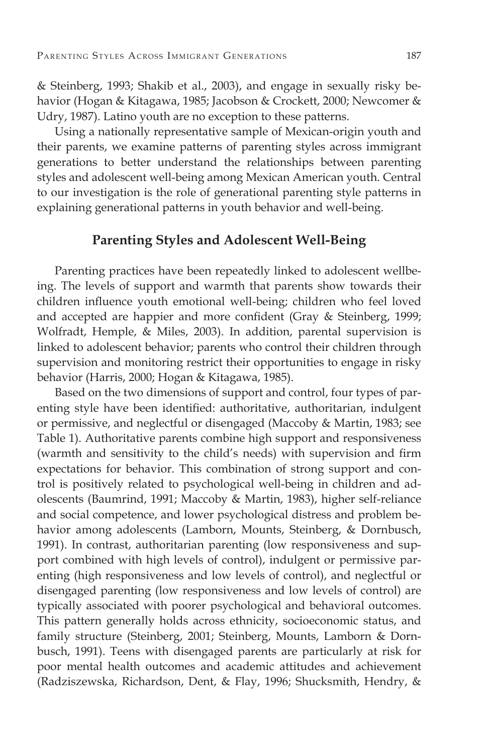& Steinberg, 1993; Shakib et al., 2003), and engage in sexually risky behavior (Hogan & Kitagawa, 1985; Jacobson & Crockett, 2000; Newcomer & Udry, 1987). Latino youth are no exception to these patterns.

Using a nationally representative sample of Mexican-origin youth and their parents, we examine patterns of parenting styles across immigrant generations to better understand the relationships between parenting styles and adolescent well-being among Mexican American youth. Central to our investigation is the role of generational parenting style patterns in explaining generational patterns in youth behavior and well-being.

## **Parenting Styles and Adolescent Well-Being**

Parenting practices have been repeatedly linked to adolescent wellbeing. The levels of support and warmth that parents show towards their children influence youth emotional well-being; children who feel loved and accepted are happier and more confident (Gray & Steinberg, 1999; Wolfradt, Hemple, & Miles, 2003). In addition, parental supervision is linked to adolescent behavior; parents who control their children through supervision and monitoring restrict their opportunities to engage in risky behavior (Harris, 2000; Hogan & Kitagawa, 1985).

Based on the two dimensions of support and control, four types of parenting style have been identified: authoritative, authoritarian, indulgent or permissive, and neglectful or disengaged (Maccoby & Martin, 1983; see Table 1). Authoritative parents combine high support and responsiveness (warmth and sensitivity to the child's needs) with supervision and firm expectations for behavior. This combination of strong support and control is positively related to psychological well-being in children and adolescents (Baumrind, 1991; Maccoby & Martin, 1983), higher self-reliance and social competence, and lower psychological distress and problem behavior among adolescents (Lamborn, Mounts, Steinberg, & Dornbusch, 1991). In contrast, authoritarian parenting (low responsiveness and support combined with high levels of control), indulgent or permissive parenting (high responsiveness and low levels of control), and neglectful or disengaged parenting (low responsiveness and low levels of control) are typically associated with poorer psychological and behavioral outcomes. This pattern generally holds across ethnicity, socioeconomic status, and family structure (Steinberg, 2001; Steinberg, Mounts, Lamborn & Dornbusch, 1991). Teens with disengaged parents are particularly at risk for poor mental health outcomes and academic attitudes and achievement (Radziszewska, Richardson, Dent, & Flay, 1996; Shucksmith, Hendry, &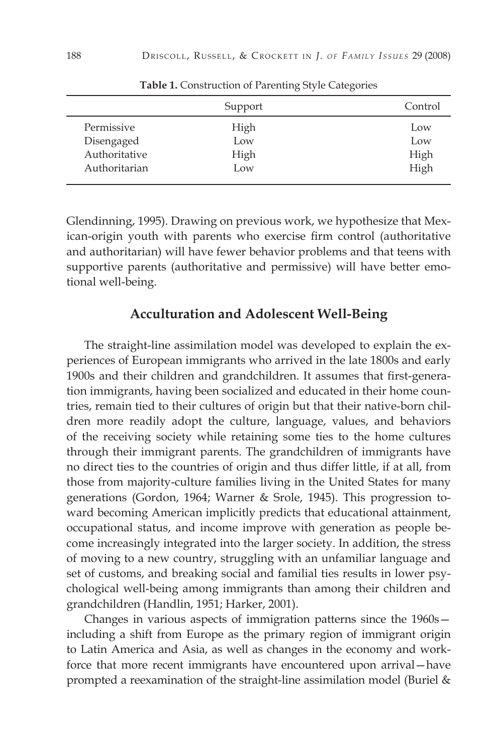|               | Support | Control |
|---------------|---------|---------|
| Permissive    | High    | Low     |
| Disengaged    | Low     | Low     |
| Authoritative | High    | High    |
| Authoritarian | Low     | High    |

**Table 1.** Construction of Parenting Style Categories

Glendinning, 1995). Drawing on previous work, we hypothesize that Mexican-origin youth with parents who exercise firm control (authoritative and authoritarian) will have fewer behavior problems and that teens with supportive parents (authoritative and permissive) will have better emotional well-being.

## **Acculturation and Adolescent Well-Being**

The straight-line assimilation model was developed to explain the experiences of European immigrants who arrived in the late 1800s and early 1900s and their children and grandchildren. It assumes that first-generation immigrants, having been socialized and educated in their home countries, remain tied to their cultures of origin but that their native-born children more readily adopt the culture, language, values, and behaviors of the receiving society while retaining some ties to the home cultures through their immigrant parents. The grandchildren of immigrants have no direct ties to the countries of origin and thus differ little, if at all, from those from majority-culture families living in the United States for many generations (Gordon, 1964; Warner & Srole, 1945). This progression toward becoming American implicitly predicts that educational attainment, occupational status, and income improve with generation as people become increasingly integrated into the larger society. In addition, the stress of moving to a new country, struggling with an unfamiliar language and set of customs, and breaking social and familial ties results in lower psychological well-being among immigrants than among their children and grandchildren (Handlin, 1951; Harker, 2001).

Changes in various aspects of immigration patterns since the 1960s including a shift from Europe as the primary region of immigrant origin to Latin America and Asia, as well as changes in the economy and workforce that more recent immigrants have encountered upon arrival—have prompted a reexamination of the straight-line assimilation model (Buriel &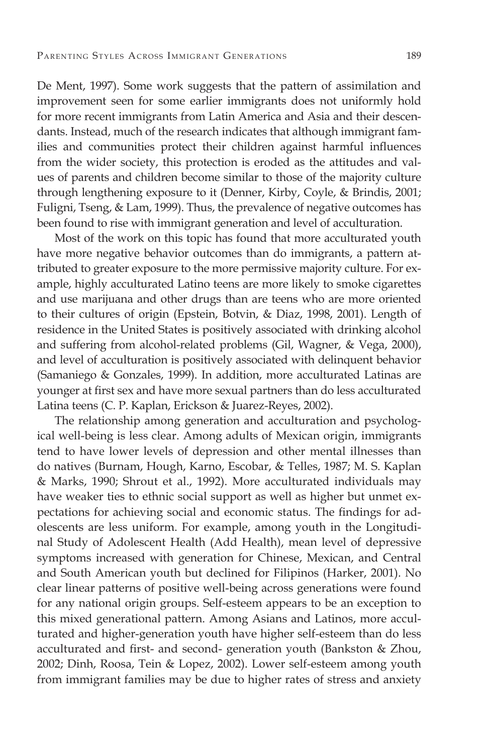De Ment, 1997). Some work suggests that the pattern of assimilation and improvement seen for some earlier immigrants does not uniformly hold for more recent immigrants from Latin America and Asia and their descendants. Instead, much of the research indicates that although immigrant families and communities protect their children against harmful influences from the wider society, this protection is eroded as the attitudes and values of parents and children become similar to those of the majority culture through lengthening exposure to it (Denner, Kirby, Coyle, & Brindis, 2001; Fuligni, Tseng, & Lam, 1999). Thus, the prevalence of negative outcomes has been found to rise with immigrant generation and level of acculturation.

Most of the work on this topic has found that more acculturated youth have more negative behavior outcomes than do immigrants, a pattern attributed to greater exposure to the more permissive majority culture. For example, highly acculturated Latino teens are more likely to smoke cigarettes and use marijuana and other drugs than are teens who are more oriented to their cultures of origin (Epstein, Botvin, & Diaz, 1998, 2001). Length of residence in the United States is positively associated with drinking alcohol and suffering from alcohol-related problems (Gil, Wagner, & Vega, 2000), and level of acculturation is positively associated with delinquent behavior (Samaniego & Gonzales, 1999). In addition, more acculturated Latinas are younger at first sex and have more sexual partners than do less acculturated Latina teens (C. P. Kaplan, Erickson & Juarez-Reyes, 2002).

The relationship among generation and acculturation and psychological well-being is less clear. Among adults of Mexican origin, immigrants tend to have lower levels of depression and other mental illnesses than do natives (Burnam, Hough, Karno, Escobar, & Telles, 1987; M. S. Kaplan & Marks, 1990; Shrout et al., 1992). More acculturated individuals may have weaker ties to ethnic social support as well as higher but unmet expectations for achieving social and economic status. The findings for adolescents are less uniform. For example, among youth in the Longitudinal Study of Adolescent Health (Add Health), mean level of depressive symptoms increased with generation for Chinese, Mexican, and Central and South American youth but declined for Filipinos (Harker, 2001). No clear linear patterns of positive well-being across generations were found for any national origin groups. Self-esteem appears to be an exception to this mixed generational pattern. Among Asians and Latinos, more acculturated and higher-generation youth have higher self-esteem than do less acculturated and first- and second- generation youth (Bankston & Zhou, 2002; Dinh, Roosa, Tein & Lopez, 2002). Lower self-esteem among youth from immigrant families may be due to higher rates of stress and anxiety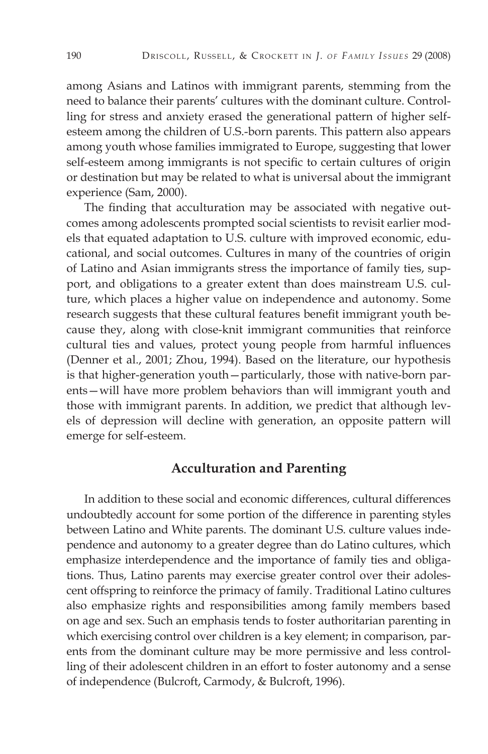among Asians and Latinos with immigrant parents, stemming from the need to balance their parents' cultures with the dominant culture. Controlling for stress and anxiety erased the generational pattern of higher selfesteem among the children of U.S.-born parents. This pattern also appears among youth whose families immigrated to Europe, suggesting that lower self-esteem among immigrants is not specific to certain cultures of origin or destination but may be related to what is universal about the immigrant experience (Sam, 2000).

The finding that acculturation may be associated with negative outcomes among adolescents prompted social scientists to revisit earlier models that equated adaptation to U.S. culture with improved economic, educational, and social outcomes. Cultures in many of the countries of origin of Latino and Asian immigrants stress the importance of family ties, support, and obligations to a greater extent than does mainstream U.S. culture, which places a higher value on independence and autonomy. Some research suggests that these cultural features benefit immigrant youth because they, along with close-knit immigrant communities that reinforce cultural ties and values, protect young people from harmful influences (Denner et al., 2001; Zhou, 1994). Based on the literature, our hypothesis is that higher-generation youth—particularly, those with native-born parents—will have more problem behaviors than will immigrant youth and those with immigrant parents. In addition, we predict that although levels of depression will decline with generation, an opposite pattern will emerge for self-esteem.

## **Acculturation and Parenting**

In addition to these social and economic differences, cultural differences undoubtedly account for some portion of the difference in parenting styles between Latino and White parents. The dominant U.S. culture values independence and autonomy to a greater degree than do Latino cultures, which emphasize interdependence and the importance of family ties and obligations. Thus, Latino parents may exercise greater control over their adolescent offspring to reinforce the primacy of family. Traditional Latino cultures also emphasize rights and responsibilities among family members based on age and sex. Such an emphasis tends to foster authoritarian parenting in which exercising control over children is a key element; in comparison, parents from the dominant culture may be more permissive and less controlling of their adolescent children in an effort to foster autonomy and a sense of independence (Bulcroft, Carmody, & Bulcroft, 1996).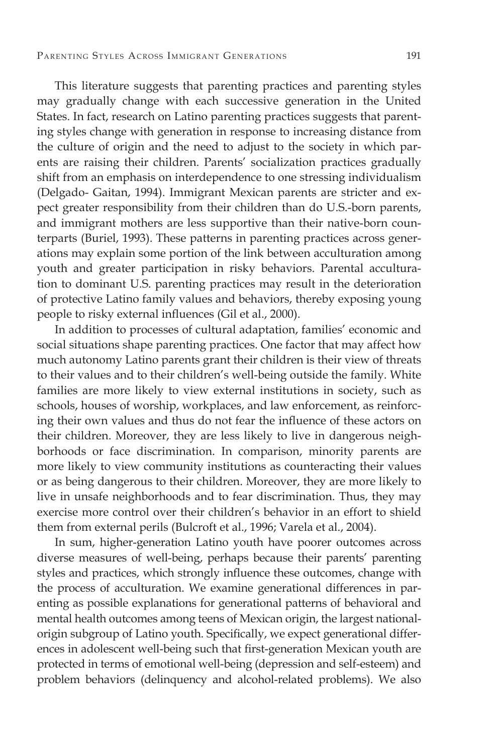This literature suggests that parenting practices and parenting styles may gradually change with each successive generation in the United States. In fact, research on Latino parenting practices suggests that parenting styles change with generation in response to increasing distance from the culture of origin and the need to adjust to the society in which parents are raising their children. Parents' socialization practices gradually shift from an emphasis on interdependence to one stressing individualism (Delgado- Gaitan, 1994). Immigrant Mexican parents are stricter and expect greater responsibility from their children than do U.S.-born parents, and immigrant mothers are less supportive than their native-born counterparts (Buriel, 1993). These patterns in parenting practices across generations may explain some portion of the link between acculturation among youth and greater participation in risky behaviors. Parental acculturation to dominant U.S. parenting practices may result in the deterioration of protective Latino family values and behaviors, thereby exposing young people to risky external influences (Gil et al., 2000).

In addition to processes of cultural adaptation, families' economic and social situations shape parenting practices. One factor that may affect how much autonomy Latino parents grant their children is their view of threats to their values and to their children's well-being outside the family. White families are more likely to view external institutions in society, such as schools, houses of worship, workplaces, and law enforcement, as reinforcing their own values and thus do not fear the influence of these actors on their children. Moreover, they are less likely to live in dangerous neighborhoods or face discrimination. In comparison, minority parents are more likely to view community institutions as counteracting their values or as being dangerous to their children. Moreover, they are more likely to live in unsafe neighborhoods and to fear discrimination. Thus, they may exercise more control over their children's behavior in an effort to shield them from external perils (Bulcroft et al., 1996; Varela et al., 2004).

In sum, higher-generation Latino youth have poorer outcomes across diverse measures of well-being, perhaps because their parents' parenting styles and practices, which strongly influence these outcomes, change with the process of acculturation. We examine generational differences in parenting as possible explanations for generational patterns of behavioral and mental health outcomes among teens of Mexican origin, the largest nationalorigin subgroup of Latino youth. Specifically, we expect generational differences in adolescent well-being such that first-generation Mexican youth are protected in terms of emotional well-being (depression and self-esteem) and problem behaviors (delinquency and alcohol-related problems). We also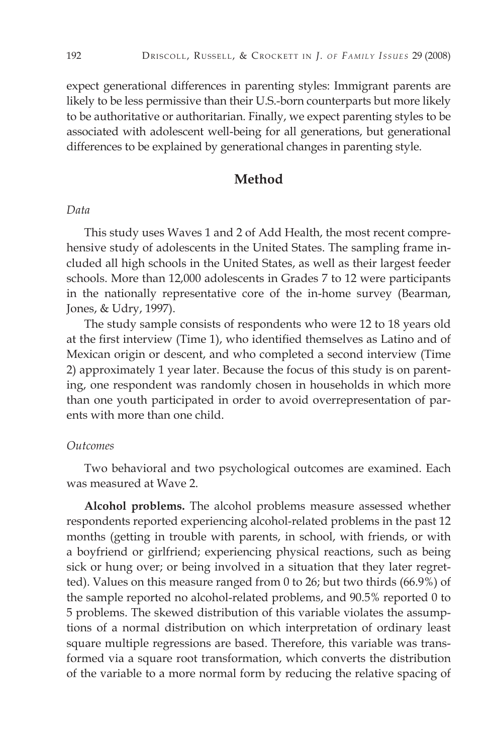expect generational differences in parenting styles: Immigrant parents are likely to be less permissive than their U.S.-born counterparts but more likely to be authoritative or authoritarian. Finally, we expect parenting styles to be associated with adolescent well-being for all generations, but generational differences to be explained by generational changes in parenting style.

## **Method**

#### *Data*

This study uses Waves 1 and 2 of Add Health, the most recent comprehensive study of adolescents in the United States. The sampling frame included all high schools in the United States, as well as their largest feeder schools. More than 12,000 adolescents in Grades 7 to 12 were participants in the nationally representative core of the in-home survey (Bearman, Jones, & Udry, 1997).

The study sample consists of respondents who were 12 to 18 years old at the first interview (Time 1), who identified themselves as Latino and of Mexican origin or descent, and who completed a second interview (Time 2) approximately 1 year later. Because the focus of this study is on parenting, one respondent was randomly chosen in households in which more than one youth participated in order to avoid overrepresentation of parents with more than one child.

#### *Outcomes*

Two behavioral and two psychological outcomes are examined. Each was measured at Wave 2.

**Alcohol problems.** The alcohol problems measure assessed whether respondents reported experiencing alcohol-related problems in the past 12 months (getting in trouble with parents, in school, with friends, or with a boyfriend or girlfriend; experiencing physical reactions, such as being sick or hung over; or being involved in a situation that they later regretted). Values on this measure ranged from 0 to 26; but two thirds (66.9%) of the sample reported no alcohol-related problems, and 90.5% reported 0 to 5 problems. The skewed distribution of this variable violates the assumptions of a normal distribution on which interpretation of ordinary least square multiple regressions are based. Therefore, this variable was transformed via a square root transformation, which converts the distribution of the variable to a more normal form by reducing the relative spacing of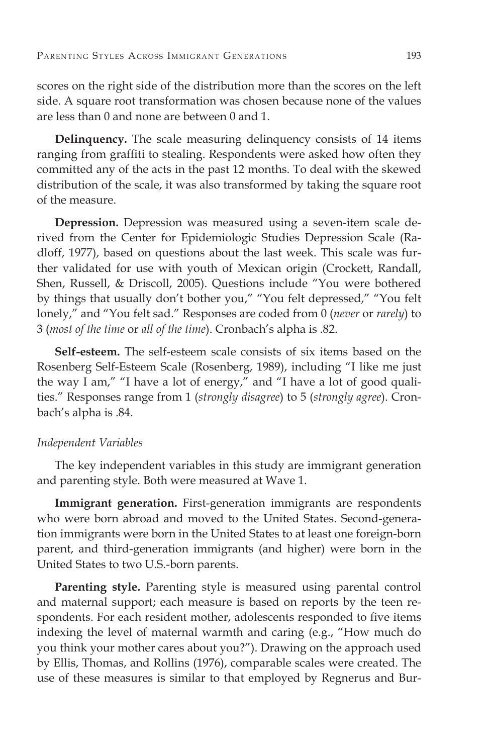scores on the right side of the distribution more than the scores on the left side. A square root transformation was chosen because none of the values are less than 0 and none are between 0 and 1.

**Delinquency.** The scale measuring delinquency consists of 14 items ranging from graffiti to stealing. Respondents were asked how often they committed any of the acts in the past 12 months. To deal with the skewed distribution of the scale, it was also transformed by taking the square root of the measure.

**Depression.** Depression was measured using a seven-item scale derived from the Center for Epidemiologic Studies Depression Scale (Radloff, 1977), based on questions about the last week. This scale was further validated for use with youth of Mexican origin (Crockett, Randall, Shen, Russell, & Driscoll, 2005). Questions include "You were bothered by things that usually don't bother you," "You felt depressed," "You felt lonely," and "You felt sad." Responses are coded from 0 (*never* or *rarely*) to 3 (*most of the time* or *all of the time*). Cronbach's alpha is .82.

**Self-esteem.** The self-esteem scale consists of six items based on the Rosenberg Self-Esteem Scale (Rosenberg, 1989), including "I like me just the way I am," "I have a lot of energy," and "I have a lot of good qualities." Responses range from 1 (*strongly disagree*) to 5 (*strongly agree*). Cronbach's alpha is .84.

#### *Independent Variables*

The key independent variables in this study are immigrant generation and parenting style. Both were measured at Wave 1.

**Immigrant generation.** First-generation immigrants are respondents who were born abroad and moved to the United States. Second-generation immigrants were born in the United States to at least one foreign-born parent, and third-generation immigrants (and higher) were born in the United States to two U.S.-born parents.

**Parenting style.** Parenting style is measured using parental control and maternal support; each measure is based on reports by the teen respondents. For each resident mother, adolescents responded to five items indexing the level of maternal warmth and caring (e.g., "How much do you think your mother cares about you?"). Drawing on the approach used by Ellis, Thomas, and Rollins (1976), comparable scales were created. The use of these measures is similar to that employed by Regnerus and Bur-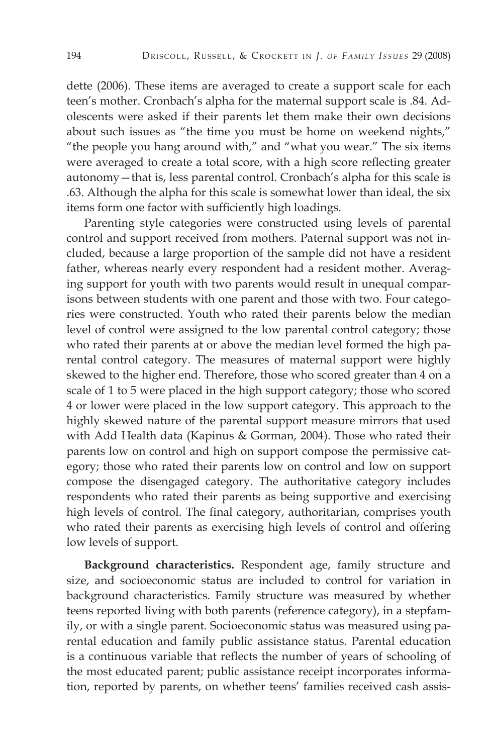dette (2006). These items are averaged to create a support scale for each teen's mother. Cronbach's alpha for the maternal support scale is .84. Adolescents were asked if their parents let them make their own decisions about such issues as "the time you must be home on weekend nights," "the people you hang around with," and "what you wear." The six items were averaged to create a total score, with a high score reflecting greater autonomy—that is, less parental control. Cronbach's alpha for this scale is .63. Although the alpha for this scale is somewhat lower than ideal, the six items form one factor with sufficiently high loadings.

Parenting style categories were constructed using levels of parental control and support received from mothers. Paternal support was not included, because a large proportion of the sample did not have a resident father, whereas nearly every respondent had a resident mother. Averaging support for youth with two parents would result in unequal comparisons between students with one parent and those with two. Four categories were constructed. Youth who rated their parents below the median level of control were assigned to the low parental control category; those who rated their parents at or above the median level formed the high parental control category. The measures of maternal support were highly skewed to the higher end. Therefore, those who scored greater than 4 on a scale of 1 to 5 were placed in the high support category; those who scored 4 or lower were placed in the low support category. This approach to the highly skewed nature of the parental support measure mirrors that used with Add Health data (Kapinus & Gorman, 2004). Those who rated their parents low on control and high on support compose the permissive category; those who rated their parents low on control and low on support compose the disengaged category. The authoritative category includes respondents who rated their parents as being supportive and exercising high levels of control. The final category, authoritarian, comprises youth who rated their parents as exercising high levels of control and offering low levels of support.

**Background characteristics.** Respondent age, family structure and size, and socioeconomic status are included to control for variation in background characteristics. Family structure was measured by whether teens reported living with both parents (reference category), in a stepfamily, or with a single parent. Socioeconomic status was measured using parental education and family public assistance status. Parental education is a continuous variable that reflects the number of years of schooling of the most educated parent; public assistance receipt incorporates information, reported by parents, on whether teens' families received cash assis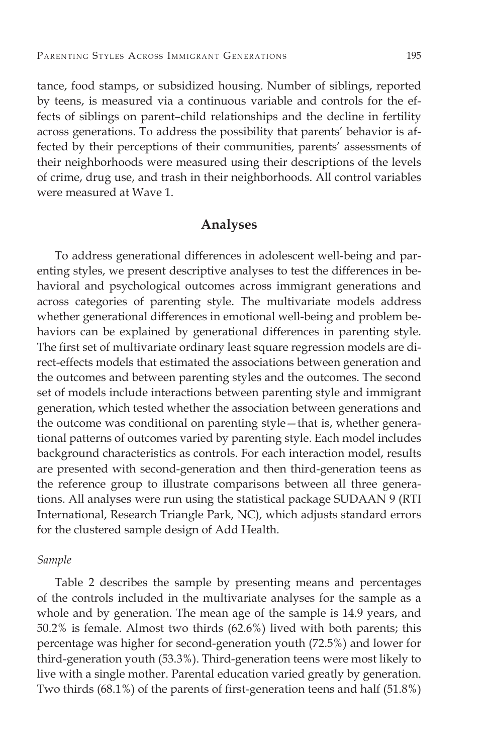tance, food stamps, or subsidized housing. Number of siblings, reported by teens, is measured via a continuous variable and controls for the effects of siblings on parent–child relationships and the decline in fertility across generations. To address the possibility that parents' behavior is affected by their perceptions of their communities, parents' assessments of their neighborhoods were measured using their descriptions of the levels of crime, drug use, and trash in their neighborhoods. All control variables were measured at Wave 1.

## **Analyses**

To address generational differences in adolescent well-being and parenting styles, we present descriptive analyses to test the differences in behavioral and psychological outcomes across immigrant generations and across categories of parenting style. The multivariate models address whether generational differences in emotional well-being and problem behaviors can be explained by generational differences in parenting style. The first set of multivariate ordinary least square regression models are direct-effects models that estimated the associations between generation and the outcomes and between parenting styles and the outcomes. The second set of models include interactions between parenting style and immigrant generation, which tested whether the association between generations and the outcome was conditional on parenting style—that is, whether generational patterns of outcomes varied by parenting style. Each model includes background characteristics as controls. For each interaction model, results are presented with second-generation and then third-generation teens as the reference group to illustrate comparisons between all three generations. All analyses were run using the statistical package SUDAAN 9 (RTI International, Research Triangle Park, NC), which adjusts standard errors for the clustered sample design of Add Health.

#### *Sample*

Table 2 describes the sample by presenting means and percentages of the controls included in the multivariate analyses for the sample as a whole and by generation. The mean age of the sample is 14.9 years, and 50.2% is female. Almost two thirds (62.6%) lived with both parents; this percentage was higher for second-generation youth (72.5%) and lower for third-generation youth (53.3%). Third-generation teens were most likely to live with a single mother. Parental education varied greatly by generation. Two thirds (68.1%) of the parents of first-generation teens and half (51.8%)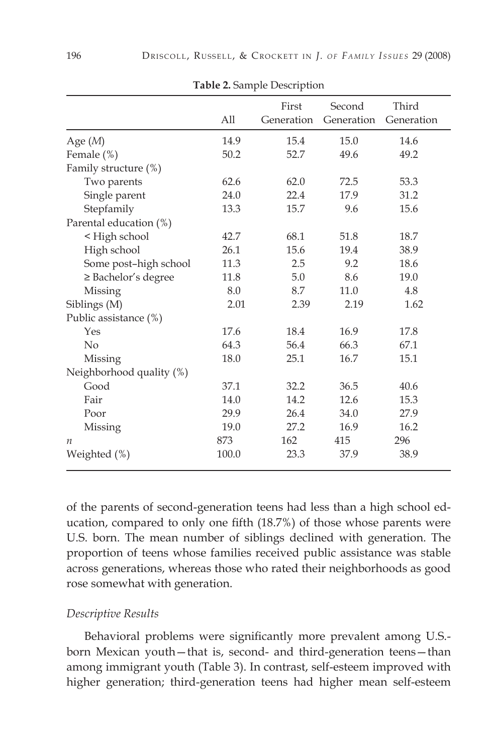|                          | All   | First<br>Generation | Second<br>Generation | Third<br>Generation |
|--------------------------|-------|---------------------|----------------------|---------------------|
| Age (M)                  | 14.9  | 15.4                | 15.0                 | 14.6                |
| Female (%)               | 50.2  | 52.7                | 49.6                 | 49.2                |
| Family structure (%)     |       |                     |                      |                     |
| Two parents              | 62.6  | 62.0                | 72.5                 | 53.3                |
| Single parent            | 24.0  | 22.4                | 17.9                 | 31.2                |
| Stepfamily               | 13.3  | 15.7                | 9.6                  | 15.6                |
| Parental education (%)   |       |                     |                      |                     |
| < High school            | 42.7  | 68.1                | 51.8                 | 18.7                |
| High school              | 26.1  | 15.6                | 19.4                 | 38.9                |
| Some post-high school    | 11.3  | 2.5                 | 9.2                  | 18.6                |
| $\geq$ Bachelor's degree | 11.8  | 5.0                 | 8.6                  | 19.0                |
| Missing                  | 8.0   | 8.7                 | 11.0                 | 4.8                 |
| Siblings (M)             | 2.01  | 2.39                | 2.19                 | 1.62                |
| Public assistance (%)    |       |                     |                      |                     |
| Yes                      | 17.6  | 18.4                | 16.9                 | 17.8                |
| No                       | 64.3  | 56.4                | 66.3                 | 67.1                |
| Missing                  | 18.0  | 25.1                | 16.7                 | 15.1                |
| Neighborhood quality (%) |       |                     |                      |                     |
| Good                     | 37.1  | 32.2                | 36.5                 | 40.6                |
| Fair                     | 14.0  | 14.2                | 12.6                 | 15.3                |
| Poor                     | 29.9  | 26.4                | 34.0                 | 27.9                |
| Missing                  | 19.0  | 27.2                | 16.9                 | 16.2                |
| $\boldsymbol{n}$         | 873   | 162                 | 415                  | 296                 |
| Weighted (%)             | 100.0 | 23.3                | 37.9                 | 38.9                |

**Table 2.** Sample Description

of the parents of second-generation teens had less than a high school education, compared to only one fifth (18.7%) of those whose parents were U.S. born. The mean number of siblings declined with generation. The proportion of teens whose families received public assistance was stable across generations, whereas those who rated their neighborhoods as good rose somewhat with generation.

#### *Descriptive Results*

Behavioral problems were significantly more prevalent among U.S. born Mexican youth—that is, second- and third-generation teens—than among immigrant youth (Table 3). In contrast, self-esteem improved with higher generation; third-generation teens had higher mean self-esteem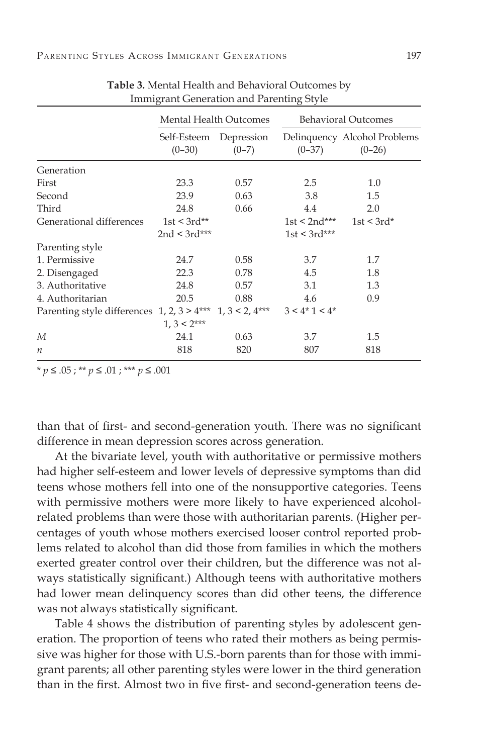|                                                                              |                         | Mental Health Outcomes | <b>Behavioral Outcomes</b> |                                          |
|------------------------------------------------------------------------------|-------------------------|------------------------|----------------------------|------------------------------------------|
|                                                                              | Self-Esteem<br>$(0-30)$ | Depression<br>$(0-7)$  | $(0-37)$                   | Delinquency Alcohol Problems<br>$(0-26)$ |
| Generation                                                                   |                         |                        |                            |                                          |
| First                                                                        | 23.3                    | 0.57                   | 2.5                        | 1.0                                      |
| Second                                                                       | 23.9                    | 0.63                   | 3.8                        | 1.5                                      |
| Third                                                                        | 24.8                    | 0.66                   | 4.4                        | 2.0                                      |
| Generational differences<br>$1st < 3rd**$                                    |                         |                        | $1st < 2nd***$             | $1st < 3rd*$                             |
|                                                                              | $2nd < 3rd***$          |                        | $1st < 3rd***$             |                                          |
| Parenting style                                                              |                         |                        |                            |                                          |
| 1. Permissive                                                                | 24.7                    | 0.58                   | 3.7                        | 1.7                                      |
| 2. Disengaged                                                                | 22.3                    | 0.78                   | 4.5                        | 1.8                                      |
| 3. Authoritative                                                             | 24.8                    | 0.57                   | 3.1                        | 1.3                                      |
| 4. Authoritarian                                                             | 20.5                    | 0.88                   | 4.6                        | 0.9                                      |
| Parenting style differences $1, 2, 3 > 4***$ $1, 3 < 2, 4***$ $3 < 4*1 < 4*$ |                         |                        |                            |                                          |
|                                                                              | $1, 3 < 2***$           |                        |                            |                                          |
| М                                                                            | 24.1                    | 0.63                   | 3.7                        | 1.5                                      |
| $\boldsymbol{n}$                                                             | 818                     | 820                    | 807                        | 818                                      |
|                                                                              |                         |                        |                            |                                          |

| Table 3. Mental Health and Behavioral Outcomes by |  |
|---------------------------------------------------|--|
| Immigrant Generation and Parenting Style          |  |

\* *p* ≤ .05 ; \*\* *p* ≤ .01 ; \*\*\* *p* ≤ .001

than that of first- and second-generation youth. There was no significant difference in mean depression scores across generation.

At the bivariate level, youth with authoritative or permissive mothers had higher self-esteem and lower levels of depressive symptoms than did teens whose mothers fell into one of the nonsupportive categories. Teens with permissive mothers were more likely to have experienced alcoholrelated problems than were those with authoritarian parents. (Higher percentages of youth whose mothers exercised looser control reported problems related to alcohol than did those from families in which the mothers exerted greater control over their children, but the difference was not always statistically significant.) Although teens with authoritative mothers had lower mean delinquency scores than did other teens, the difference was not always statistically significant.

Table 4 shows the distribution of parenting styles by adolescent generation. The proportion of teens who rated their mothers as being permissive was higher for those with U.S.-born parents than for those with immigrant parents; all other parenting styles were lower in the third generation than in the first. Almost two in five first- and second-generation teens de-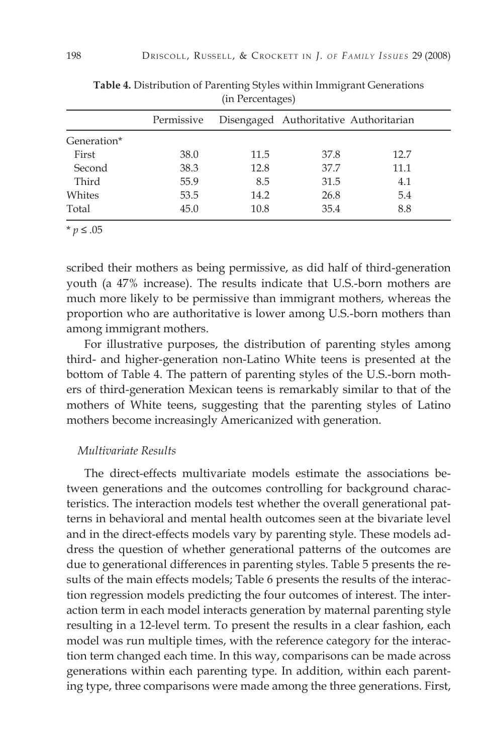| $(1111 \text{Circungco})$ |            |      |                                        |      |  |
|---------------------------|------------|------|----------------------------------------|------|--|
|                           | Permissive |      | Disengaged Authoritative Authoritarian |      |  |
| Generation*               |            |      |                                        |      |  |
| First                     | 38.0       | 11.5 | 37.8                                   | 12.7 |  |
| Second                    | 38.3       | 12.8 | 37.7                                   | 11.1 |  |
| Third                     | 55.9       | 8.5  | 31.5                                   | 4.1  |  |
| Whites                    | 53.5       | 14.2 | 26.8                                   | 5.4  |  |
| Total                     | 45.0       | 10.8 | 35.4                                   | 8.8  |  |

**Table 4.** Distribution of Parenting Styles within Immigrant Generations (in Percentages)

\* *p* ≤ .05

scribed their mothers as being permissive, as did half of third-generation youth (a 47% increase). The results indicate that U.S.-born mothers are much more likely to be permissive than immigrant mothers, whereas the proportion who are authoritative is lower among U.S.-born mothers than among immigrant mothers.

For illustrative purposes, the distribution of parenting styles among third- and higher-generation non-Latino White teens is presented at the bottom of Table 4. The pattern of parenting styles of the U.S.-born mothers of third-generation Mexican teens is remarkably similar to that of the mothers of White teens, suggesting that the parenting styles of Latino mothers become increasingly Americanized with generation.

#### *Multivariate Results*

The direct-effects multivariate models estimate the associations between generations and the outcomes controlling for background characteristics. The interaction models test whether the overall generational patterns in behavioral and mental health outcomes seen at the bivariate level and in the direct-effects models vary by parenting style. These models address the question of whether generational patterns of the outcomes are due to generational differences in parenting styles. Table 5 presents the results of the main effects models; Table 6 presents the results of the interaction regression models predicting the four outcomes of interest. The interaction term in each model interacts generation by maternal parenting style resulting in a 12-level term. To present the results in a clear fashion, each model was run multiple times, with the reference category for the interaction term changed each time. In this way, comparisons can be made across generations within each parenting type. In addition, within each parenting type, three comparisons were made among the three generations. First,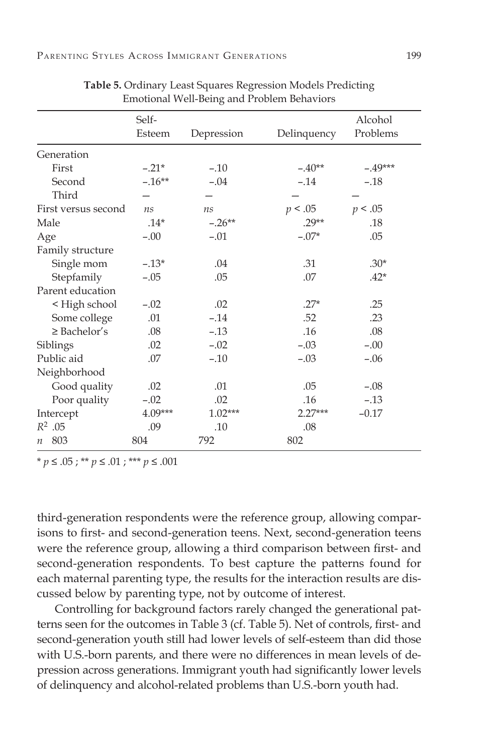|                     |           | റ          |             |           |
|---------------------|-----------|------------|-------------|-----------|
|                     | Self-     |            |             | Alcohol   |
|                     | Esteem    | Depression | Delinquency | Problems  |
| Generation          |           |            |             |           |
| First               | $-.21*$   | $-.10$     | $-.40**$    | $-.49***$ |
| Second              | $-.16**$  | $-.04$     | $-.14$      | $-.18$    |
| Third               |           |            |             |           |
| First versus second | ns        | ns         | p < .05     | p < .05   |
| Male                | $.14*$    | $-.26***$  | $.29**$     | .18       |
| Age                 | $-.00$    | $-.01$     | $-.07*$     | .05       |
| Family structure    |           |            |             |           |
| Single mom          | $-.13*$   | .04        | .31         | $.30*$    |
| Stepfamily          | $-.05$    | .05        | .07         | $.42*$    |
| Parent education    |           |            |             |           |
| < High school       | $-.02$    | .02        | $.27*$      | .25       |
| Some college        | .01       | $-.14$     | .52         | .23       |
| $\geq$ Bachelor's   | .08       | $-.13$     | .16         | .08       |
| Siblings            | .02       | $-.02$     | $-.03$      | $-.00$    |
| Public aid          | .07       | $-.10$     | $-.03$      | $-.06$    |
| Neighborhood        |           |            |             |           |
| Good quality        | .02       | .01        | .05         | $-.08$    |
| Poor quality        | $-.02$    | .02        | .16         | $-.13$    |
| Intercept           | $4.09***$ | $1.02***$  | $2.27***$   | $-0.17$   |
| $\mathbb{R}^2$ .05  | .09       | .10        | .08         |           |
| n 803               | 804       | 792        | 802         |           |
|                     |           |            |             |           |

**Table 5.** Ordinary Least Squares Regression Models Predicting Emotional Well-Being and Problem Behaviors

\* *p* ≤ .05 ; \*\* *p* ≤ .01 ; \*\*\* *p* ≤ .001

third-generation respondents were the reference group, allowing comparisons to first- and second-generation teens. Next, second-generation teens were the reference group, allowing a third comparison between first- and second-generation respondents. To best capture the patterns found for each maternal parenting type, the results for the interaction results are discussed below by parenting type, not by outcome of interest.

Controlling for background factors rarely changed the generational patterns seen for the outcomes in Table 3 (cf. Table 5). Net of controls, first- and second-generation youth still had lower levels of self-esteem than did those with U.S.-born parents, and there were no differences in mean levels of depression across generations. Immigrant youth had significantly lower levels of delinquency and alcohol-related problems than U.S.-born youth had.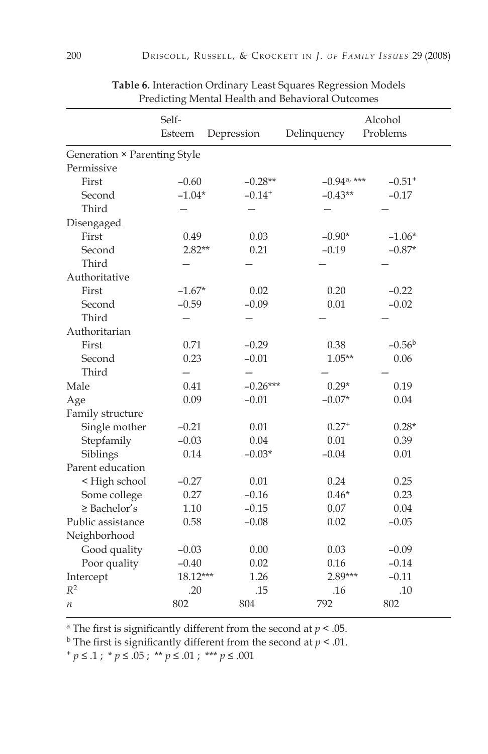|                              | Self-<br>Esteem | Depression  | Delinquency               | Alcohol<br>Problems  |
|------------------------------|-----------------|-------------|---------------------------|----------------------|
|                              |                 |             |                           |                      |
| Generation × Parenting Style |                 |             |                           |                      |
| Permissive                   |                 |             |                           |                      |
| First                        | $-0.60$         | $-0.28**$   | $-0.94$ <sup>a, ***</sup> | $-0.51$ <sup>+</sup> |
| Second                       | $-1.04*$        | $-0.14^{+}$ | $-0.43**$                 | $-0.17$              |
| Third                        |                 |             |                           |                      |
| Disengaged                   |                 |             |                           |                      |
| First                        | 0.49            | 0.03        | $-0.90*$                  | $-1.06*$             |
| Second                       | $2.82**$        | 0.21        | $-0.19$                   | $-0.87*$             |
| Third                        |                 |             |                           |                      |
| Authoritative                |                 |             |                           |                      |
| First                        | $-1.67*$        | 0.02        | 0.20                      | $-0.22$              |
| Second                       | $-0.59$         | $-0.09$     | 0.01                      | $-0.02$              |
| Third                        |                 |             |                           |                      |
| Authoritarian                |                 |             |                           |                      |
| First                        | 0.71            | $-0.29$     | 0.38                      | $-0.56^{b}$          |
| Second                       | 0.23            | $-0.01$     | $1.05**$                  | 0.06                 |
| Third                        |                 |             |                           |                      |
| Male                         | 0.41            | $-0.26***$  | $0.29*$                   | 0.19                 |
| Age                          | 0.09            | $-0.01$     | $-0.07*$                  | 0.04                 |
| Family structure             |                 |             |                           |                      |
| Single mother                | $-0.21$         | 0.01        | $0.27^{+}$                | $0.28*$              |
| Stepfamily                   | $-0.03$         | 0.04        | 0.01                      | 0.39                 |
| Siblings                     | 0.14            | $-0.03*$    | $-0.04$                   | 0.01                 |
| Parent education             |                 |             |                           |                      |
| < High school                | $-0.27$         | 0.01        | 0.24                      | 0.25                 |
| Some college                 | 0.27            | $-0.16$     | $0.46*$                   | 0.23                 |
| $\geq$ Bachelor's            | 1.10            | $-0.15$     | 0.07                      | 0.04                 |
| Public assistance            | 0.58            | $-0.08$     | 0.02                      | $-0.05$              |
| Neighborhood                 |                 |             |                           |                      |
| Good quality                 | $-0.03$         | 0.00        | 0.03                      | $-0.09$              |
| Poor quality                 | $-0.40$         | 0.02        | 0.16                      | $-0.14$              |
| Intercept                    | 18.12***        | 1.26        | 2.89***                   | $-0.11$              |
| $R^2$                        | .20             | .15         | .16                       | .10                  |
| $\boldsymbol{n}$             | 802             | 804         | 792                       | 802                  |

**Table 6.** Interaction Ordinary Least Squares Regression Models Predicting Mental Health and Behavioral Outcomes

<sup>a</sup> The first is significantly different from the second at  $p < .05$ .

<sup>b</sup> The first is significantly different from the second at  $p < .01$ .

<sup>+</sup> *p* ≤ .1 ; \* *p* ≤ .05 ; \*\* *p* ≤ .01 ; \*\*\* *p* ≤ .001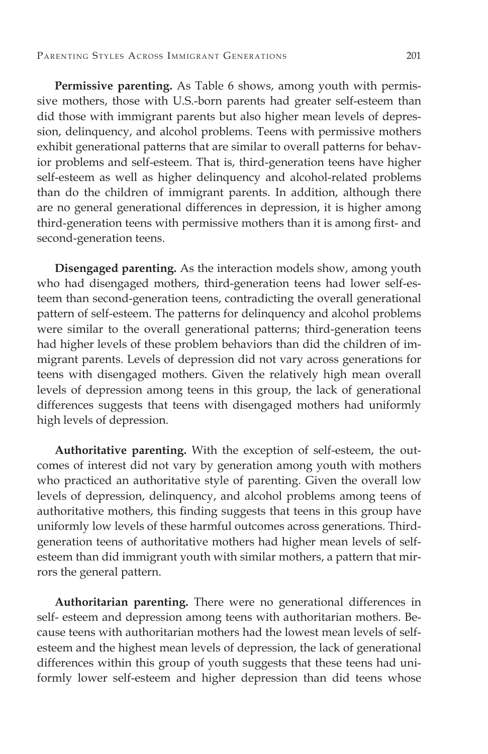**Permissive parenting.** As Table 6 shows, among youth with permissive mothers, those with U.S.-born parents had greater self-esteem than did those with immigrant parents but also higher mean levels of depression, delinquency, and alcohol problems. Teens with permissive mothers exhibit generational patterns that are similar to overall patterns for behavior problems and self-esteem. That is, third-generation teens have higher self-esteem as well as higher delinquency and alcohol-related problems than do the children of immigrant parents. In addition, although there are no general generational differences in depression, it is higher among third-generation teens with permissive mothers than it is among first- and second-generation teens.

**Disengaged parenting.** As the interaction models show, among youth who had disengaged mothers, third-generation teens had lower self-esteem than second-generation teens, contradicting the overall generational pattern of self-esteem. The patterns for delinquency and alcohol problems were similar to the overall generational patterns; third-generation teens had higher levels of these problem behaviors than did the children of immigrant parents. Levels of depression did not vary across generations for teens with disengaged mothers. Given the relatively high mean overall levels of depression among teens in this group, the lack of generational differences suggests that teens with disengaged mothers had uniformly high levels of depression.

**Authoritative parenting.** With the exception of self-esteem, the outcomes of interest did not vary by generation among youth with mothers who practiced an authoritative style of parenting. Given the overall low levels of depression, delinquency, and alcohol problems among teens of authoritative mothers, this finding suggests that teens in this group have uniformly low levels of these harmful outcomes across generations. Thirdgeneration teens of authoritative mothers had higher mean levels of selfesteem than did immigrant youth with similar mothers, a pattern that mirrors the general pattern.

**Authoritarian parenting.** There were no generational differences in self- esteem and depression among teens with authoritarian mothers. Because teens with authoritarian mothers had the lowest mean levels of selfesteem and the highest mean levels of depression, the lack of generational differences within this group of youth suggests that these teens had uniformly lower self-esteem and higher depression than did teens whose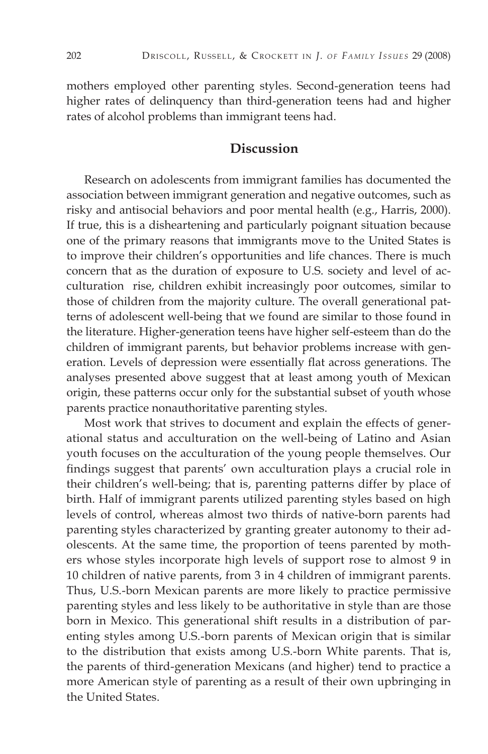mothers employed other parenting styles. Second-generation teens had higher rates of delinquency than third-generation teens had and higher rates of alcohol problems than immigrant teens had.

### **Discussion**

Research on adolescents from immigrant families has documented the association between immigrant generation and negative outcomes, such as risky and antisocial behaviors and poor mental health (e.g., Harris, 2000). If true, this is a disheartening and particularly poignant situation because one of the primary reasons that immigrants move to the United States is to improve their children's opportunities and life chances. There is much concern that as the duration of exposure to U.S. society and level of acculturation rise, children exhibit increasingly poor outcomes, similar to those of children from the majority culture. The overall generational patterns of adolescent well-being that we found are similar to those found in the literature. Higher-generation teens have higher self-esteem than do the children of immigrant parents, but behavior problems increase with generation. Levels of depression were essentially flat across generations. The analyses presented above suggest that at least among youth of Mexican origin, these patterns occur only for the substantial subset of youth whose parents practice nonauthoritative parenting styles.

Most work that strives to document and explain the effects of generational status and acculturation on the well-being of Latino and Asian youth focuses on the acculturation of the young people themselves. Our findings suggest that parents' own acculturation plays a crucial role in their children's well-being; that is, parenting patterns differ by place of birth. Half of immigrant parents utilized parenting styles based on high levels of control, whereas almost two thirds of native-born parents had parenting styles characterized by granting greater autonomy to their adolescents. At the same time, the proportion of teens parented by mothers whose styles incorporate high levels of support rose to almost 9 in 10 children of native parents, from 3 in 4 children of immigrant parents. Thus, U.S.-born Mexican parents are more likely to practice permissive parenting styles and less likely to be authoritative in style than are those born in Mexico. This generational shift results in a distribution of parenting styles among U.S.-born parents of Mexican origin that is similar to the distribution that exists among U.S.-born White parents. That is, the parents of third-generation Mexicans (and higher) tend to practice a more American style of parenting as a result of their own upbringing in the United States.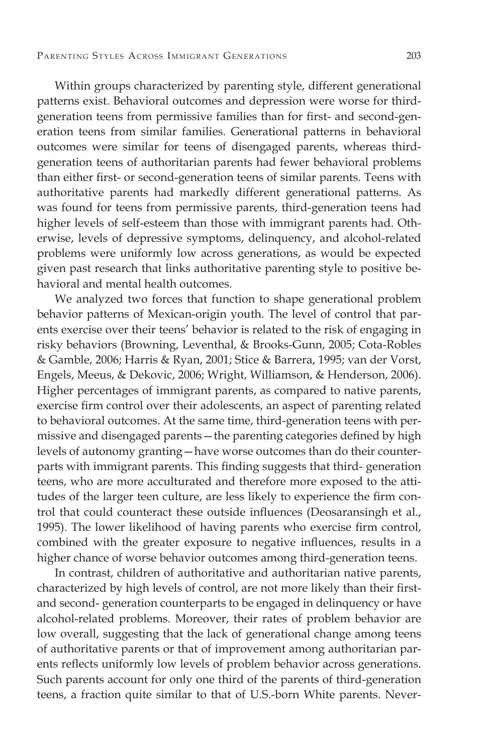Within groups characterized by parenting style, different generational patterns exist. Behavioral outcomes and depression were worse for thirdgeneration teens from permissive families than for first- and second-generation teens from similar families. Generational patterns in behavioral outcomes were similar for teens of disengaged parents, whereas thirdgeneration teens of authoritarian parents had fewer behavioral problems than either first- or second-generation teens of similar parents. Teens with authoritative parents had markedly different generational patterns. As was found for teens from permissive parents, third-generation teens had higher levels of self-esteem than those with immigrant parents had. Otherwise, levels of depressive symptoms, delinquency, and alcohol-related problems were uniformly low across generations, as would be expected given past research that links authoritative parenting style to positive behavioral and mental health outcomes.

We analyzed two forces that function to shape generational problem behavior patterns of Mexican-origin youth. The level of control that parents exercise over their teens' behavior is related to the risk of engaging in risky behaviors (Browning, Leventhal, & Brooks-Gunn, 2005; Cota-Robles & Gamble, 2006; Harris & Ryan, 2001; Stice & Barrera, 1995; van der Vorst, Engels, Meeus, & Dekovic, 2006; Wright, Williamson, & Henderson, 2006). Higher percentages of immigrant parents, as compared to native parents, exercise firm control over their adolescents, an aspect of parenting related to behavioral outcomes. At the same time, third-generation teens with permissive and disengaged parents—the parenting categories defined by high levels of autonomy granting—have worse outcomes than do their counterparts with immigrant parents. This finding suggests that third- generation teens, who are more acculturated and therefore more exposed to the attitudes of the larger teen culture, are less likely to experience the firm control that could counteract these outside influences (Deosaransingh et al., 1995). The lower likelihood of having parents who exercise firm control, combined with the greater exposure to negative influences, results in a higher chance of worse behavior outcomes among third-generation teens.

In contrast, children of authoritative and authoritarian native parents, characterized by high levels of control, are not more likely than their firstand second- generation counterparts to be engaged in delinquency or have alcohol-related problems. Moreover, their rates of problem behavior are low overall, suggesting that the lack of generational change among teens of authoritative parents or that of improvement among authoritarian parents reflects uniformly low levels of problem behavior across generations. Such parents account for only one third of the parents of third-generation teens, a fraction quite similar to that of U.S.-born White parents. Never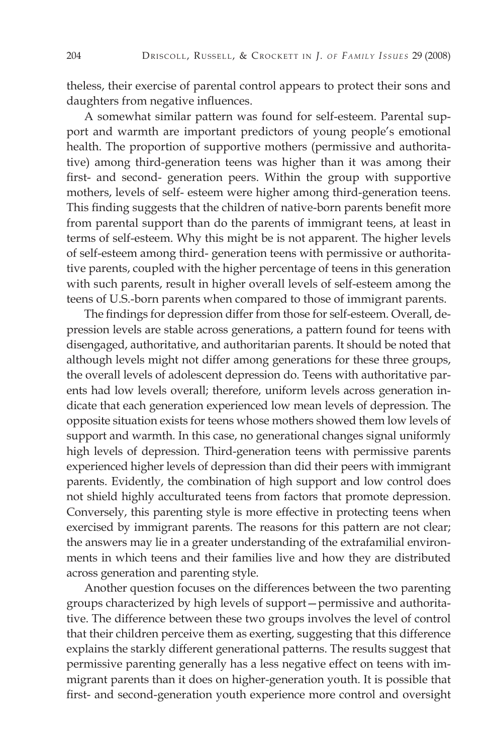theless, their exercise of parental control appears to protect their sons and daughters from negative influences.

A somewhat similar pattern was found for self-esteem. Parental support and warmth are important predictors of young people's emotional health. The proportion of supportive mothers (permissive and authoritative) among third-generation teens was higher than it was among their first- and second- generation peers. Within the group with supportive mothers, levels of self- esteem were higher among third-generation teens. This finding suggests that the children of native-born parents benefit more from parental support than do the parents of immigrant teens, at least in terms of self-esteem. Why this might be is not apparent. The higher levels of self-esteem among third- generation teens with permissive or authoritative parents, coupled with the higher percentage of teens in this generation with such parents, result in higher overall levels of self-esteem among the teens of U.S.-born parents when compared to those of immigrant parents.

The findings for depression differ from those for self-esteem. Overall, depression levels are stable across generations, a pattern found for teens with disengaged, authoritative, and authoritarian parents. It should be noted that although levels might not differ among generations for these three groups, the overall levels of adolescent depression do. Teens with authoritative parents had low levels overall; therefore, uniform levels across generation indicate that each generation experienced low mean levels of depression. The opposite situation exists for teens whose mothers showed them low levels of support and warmth. In this case, no generational changes signal uniformly high levels of depression. Third-generation teens with permissive parents experienced higher levels of depression than did their peers with immigrant parents. Evidently, the combination of high support and low control does not shield highly acculturated teens from factors that promote depression. Conversely, this parenting style is more effective in protecting teens when exercised by immigrant parents. The reasons for this pattern are not clear; the answers may lie in a greater understanding of the extrafamilial environments in which teens and their families live and how they are distributed across generation and parenting style.

Another question focuses on the differences between the two parenting groups characterized by high levels of support—permissive and authoritative. The difference between these two groups involves the level of control that their children perceive them as exerting, suggesting that this difference explains the starkly different generational patterns. The results suggest that permissive parenting generally has a less negative effect on teens with immigrant parents than it does on higher-generation youth. It is possible that first- and second-generation youth experience more control and oversight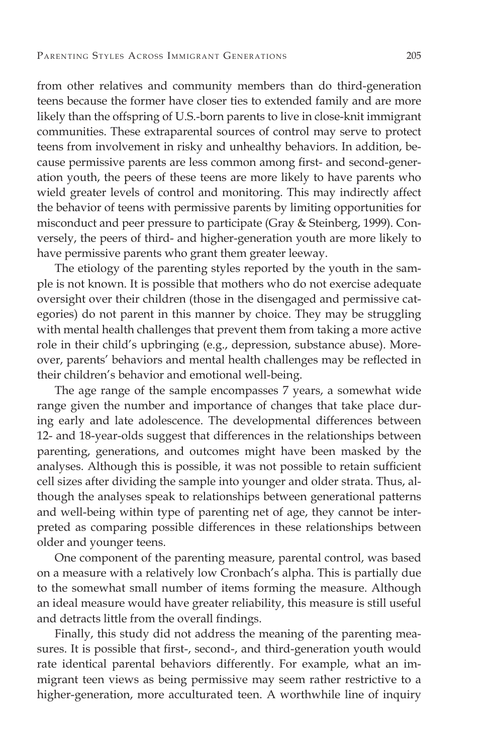from other relatives and community members than do third-generation teens because the former have closer ties to extended family and are more likely than the offspring of U.S.-born parents to live in close-knit immigrant communities. These extraparental sources of control may serve to protect teens from involvement in risky and unhealthy behaviors. In addition, because permissive parents are less common among first- and second-generation youth, the peers of these teens are more likely to have parents who wield greater levels of control and monitoring. This may indirectly affect the behavior of teens with permissive parents by limiting opportunities for misconduct and peer pressure to participate (Gray & Steinberg, 1999). Conversely, the peers of third- and higher-generation youth are more likely to have permissive parents who grant them greater leeway.

The etiology of the parenting styles reported by the youth in the sample is not known. It is possible that mothers who do not exercise adequate oversight over their children (those in the disengaged and permissive categories) do not parent in this manner by choice. They may be struggling with mental health challenges that prevent them from taking a more active role in their child's upbringing (e.g., depression, substance abuse). Moreover, parents' behaviors and mental health challenges may be reflected in their children's behavior and emotional well-being.

The age range of the sample encompasses 7 years, a somewhat wide range given the number and importance of changes that take place during early and late adolescence. The developmental differences between 12- and 18-year-olds suggest that differences in the relationships between parenting, generations, and outcomes might have been masked by the analyses. Although this is possible, it was not possible to retain sufficient cell sizes after dividing the sample into younger and older strata. Thus, although the analyses speak to relationships between generational patterns and well-being within type of parenting net of age, they cannot be interpreted as comparing possible differences in these relationships between older and younger teens.

One component of the parenting measure, parental control, was based on a measure with a relatively low Cronbach's alpha. This is partially due to the somewhat small number of items forming the measure. Although an ideal measure would have greater reliability, this measure is still useful and detracts little from the overall findings.

Finally, this study did not address the meaning of the parenting measures. It is possible that first-, second-, and third-generation youth would rate identical parental behaviors differently. For example, what an immigrant teen views as being permissive may seem rather restrictive to a higher-generation, more acculturated teen. A worthwhile line of inquiry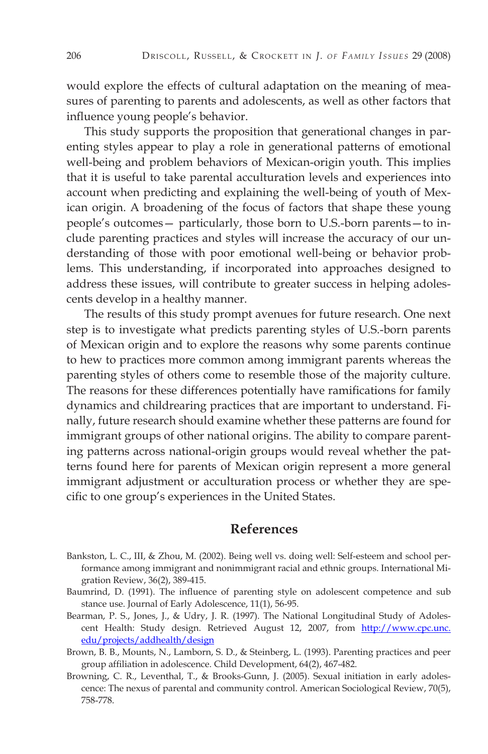would explore the effects of cultural adaptation on the meaning of measures of parenting to parents and adolescents, as well as other factors that influence young people's behavior.

This study supports the proposition that generational changes in parenting styles appear to play a role in generational patterns of emotional well-being and problem behaviors of Mexican-origin youth. This implies that it is useful to take parental acculturation levels and experiences into account when predicting and explaining the well-being of youth of Mexican origin. A broadening of the focus of factors that shape these young people's outcomes— particularly, those born to U.S.-born parents—to include parenting practices and styles will increase the accuracy of our understanding of those with poor emotional well-being or behavior problems. This understanding, if incorporated into approaches designed to address these issues, will contribute to greater success in helping adolescents develop in a healthy manner.

The results of this study prompt avenues for future research. One next step is to investigate what predicts parenting styles of U.S.-born parents of Mexican origin and to explore the reasons why some parents continue to hew to practices more common among immigrant parents whereas the parenting styles of others come to resemble those of the majority culture. The reasons for these differences potentially have ramifications for family dynamics and childrearing practices that are important to understand. Finally, future research should examine whether these patterns are found for immigrant groups of other national origins. The ability to compare parenting patterns across national-origin groups would reveal whether the patterns found here for parents of Mexican origin represent a more general immigrant adjustment or acculturation process or whether they are specific to one group's experiences in the United States.

## **References**

- Bankston, L. C., III, & Zhou, M. (2002). Being well vs. doing well: Self-esteem and school performance among immigrant and nonimmigrant racial and ethnic groups. International Migration Review, 36(2), 389-415.
- Baumrind, D. (1991). The influence of parenting style on adolescent competence and sub stance use. Journal of Early Adolescence, 11(1), 56-95.
- Bearman, P. S., Jones, J., & Udry, J. R. (1997). The National Longitudinal Study of Adolescent Health: Study design. Retrieved August 12, 2007, from http://www.cpc.unc. edu/projects/addhealth/design
- Brown, B. B., Mounts, N., Lamborn, S. D., & Steinberg, L. (1993). Parenting practices and peer group affiliation in adolescence. Child Development, 64(2), 467-482.
- Browning, C. R., Leventhal, T., & Brooks-Gunn, J. (2005). Sexual initiation in early adolescence: The nexus of parental and community control. American Sociological Review, 70(5), 758-778.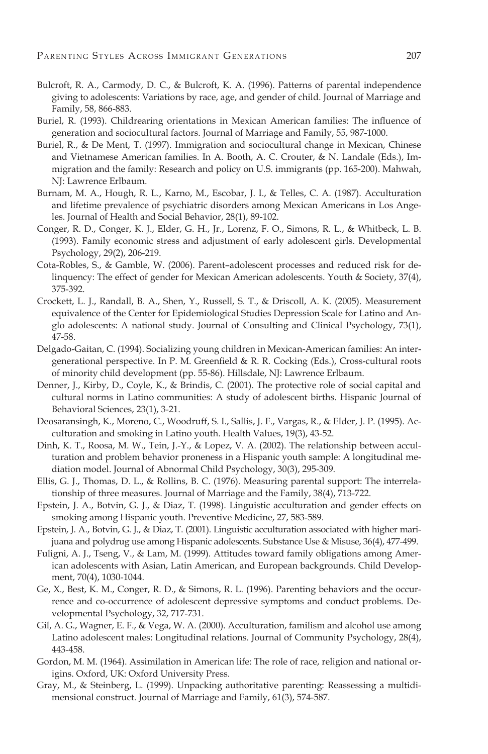- Bulcroft, R. A., Carmody, D. C., & Bulcroft, K. A. (1996). Patterns of parental independence giving to adolescents: Variations by race, age, and gender of child. Journal of Marriage and Family, 58, 866-883.
- Buriel, R. (1993). Childrearing orientations in Mexican American families: The influence of generation and sociocultural factors. Journal of Marriage and Family, 55, 987-1000.
- Buriel, R., & De Ment, T. (1997). Immigration and sociocultural change in Mexican, Chinese and Vietnamese American families. In A. Booth, A. C. Crouter, & N. Landale (Eds.), Immigration and the family: Research and policy on U.S. immigrants (pp. 165-200). Mahwah, NJ: Lawrence Erlbaum.
- Burnam, M. A., Hough, R. L., Karno, M., Escobar, J. I., & Telles, C. A. (1987). Acculturation and lifetime prevalence of psychiatric disorders among Mexican Americans in Los Angeles. Journal of Health and Social Behavior, 28(1), 89-102.
- Conger, R. D., Conger, K. J., Elder, G. H., Jr., Lorenz, F. O., Simons, R. L., & Whitbeck, L. B. (1993). Family economic stress and adjustment of early adolescent girls. Developmental Psychology, 29(2), 206-219.
- Cota-Robles, S., & Gamble, W. (2006). Parent–adolescent processes and reduced risk for delinquency: The effect of gender for Mexican American adolescents. Youth & Society, 37(4), 375-392.
- Crockett, L. J., Randall, B. A., Shen, Y., Russell, S. T., & Driscoll, A. K. (2005). Measurement equivalence of the Center for Epidemiological Studies Depression Scale for Latino and Anglo adolescents: A national study. Journal of Consulting and Clinical Psychology, 73(1), 47-58.
- Delgado-Gaitan, C. (1994). Socializing young children in Mexican-American families: An intergenerational perspective. In P. M. Greenfield & R. R. Cocking (Eds.), Cross-cultural roots of minority child development (pp. 55-86). Hillsdale, NJ: Lawrence Erlbaum.
- Denner, J., Kirby, D., Coyle, K., & Brindis, C. (2001). The protective role of social capital and cultural norms in Latino communities: A study of adolescent births. Hispanic Journal of Behavioral Sciences, 23(1), 3-21.
- Deosaransingh, K., Moreno, C., Woodruff, S. I., Sallis, J. F., Vargas, R., & Elder, J. P. (1995). Acculturation and smoking in Latino youth. Health Values, 19(3), 43-52.
- Dinh, K. T., Roosa, M. W., Tein, J.-Y., & Lopez, V. A. (2002). The relationship between acculturation and problem behavior proneness in a Hispanic youth sample: A longitudinal mediation model. Journal of Abnormal Child Psychology, 30(3), 295-309.
- Ellis, G. J., Thomas, D. L., & Rollins, B. C. (1976). Measuring parental support: The interrelationship of three measures. Journal of Marriage and the Family, 38(4), 713-722.
- Epstein, J. A., Botvin, G. J., & Diaz, T. (1998). Linguistic acculturation and gender effects on smoking among Hispanic youth. Preventive Medicine, 27, 583-589.
- Epstein, J. A., Botvin, G. J., & Diaz, T. (2001). Linguistic acculturation associated with higher marijuana and polydrug use among Hispanic adolescents. Substance Use & Misuse, 36(4), 477-499.
- Fuligni, A. J., Tseng, V., & Lam, M. (1999). Attitudes toward family obligations among American adolescents with Asian, Latin American, and European backgrounds. Child Development, 70(4), 1030-1044.
- Ge, X., Best, K. M., Conger, R. D., & Simons, R. L. (1996). Parenting behaviors and the occurrence and co-occurrence of adolescent depressive symptoms and conduct problems. Developmental Psychology, 32, 717-731.
- Gil, A. G., Wagner, E. F., & Vega, W. A. (2000). Acculturation, familism and alcohol use among Latino adolescent males: Longitudinal relations. Journal of Community Psychology, 28(4), 443-458.
- Gordon, M. M. (1964). Assimilation in American life: The role of race, religion and national origins. Oxford, UK: Oxford University Press.
- Gray, M., & Steinberg, L. (1999). Unpacking authoritative parenting: Reassessing a multidimensional construct. Journal of Marriage and Family, 61(3), 574-587.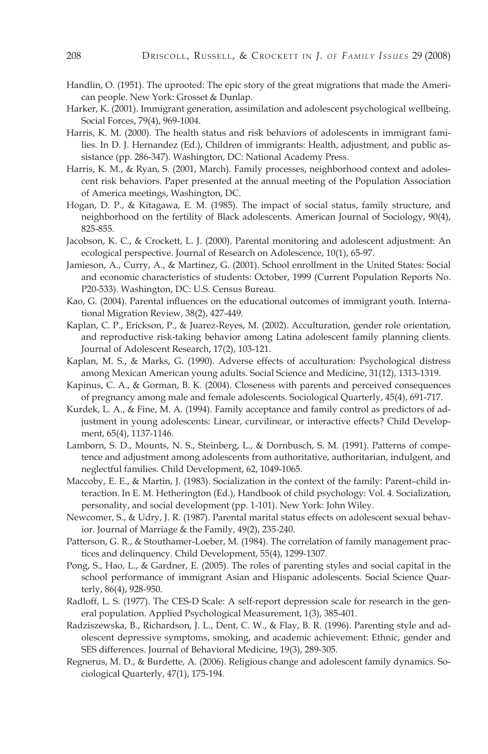- Handlin, O. (1951). The uprooted: The epic story of the great migrations that made the American people. New York: Grosset & Dunlap.
- Harker, K. (2001). Immigrant generation, assimilation and adolescent psychological wellbeing. Social Forces, 79(4), 969-1004.
- Harris, K. M. (2000). The health status and risk behaviors of adolescents in immigrant families. In D. J. Hernandez (Ed.), Children of immigrants: Health, adjustment, and public assistance (pp. 286-347). Washington, DC: National Academy Press.
- Harris, K. M., & Ryan, S. (2001, March). Family processes, neighborhood context and adolescent risk behaviors. Paper presented at the annual meeting of the Population Association of America meetings, Washington, DC.
- Hogan, D. P., & Kitagawa, E. M. (1985). The impact of social status, family structure, and neighborhood on the fertility of Black adolescents. American Journal of Sociology, 90(4), 825-855.
- Jacobson, K. C., & Crockett, L. J. (2000). Parental monitoring and adolescent adjustment: An ecological perspective. Journal of Research on Adolescence, 10(1), 65-97.
- Jamieson, A., Curry, A., & Martinez, G. (2001). School enrollment in the United States: Social and economic characteristics of students: October, 1999 (Current Population Reports No. P20-533). Washington, DC: U.S. Census Bureau.
- Kao, G. (2004). Parental influences on the educational outcomes of immigrant youth. International Migration Review, 38(2), 427-449.
- Kaplan, C. P., Erickson, P., & Juarez-Reyes, M. (2002). Acculturation, gender role orientation, and reproductive risk-taking behavior among Latina adolescent family planning clients. Journal of Adolescent Research, 17(2), 103-121.
- Kaplan, M. S., & Marks, G. (1990). Adverse effects of acculturation: Psychological distress among Mexican American young adults. Social Science and Medicine, 31(12), 1313-1319.
- Kapinus, C. A., & Gorman, B. K. (2004). Closeness with parents and perceived consequences of pregnancy among male and female adolescents. Sociological Quarterly, 45(4), 691-717.
- Kurdek, L. A., & Fine, M. A. (1994). Family acceptance and family control as predictors of adjustment in young adolescents: Linear, curvilinear, or interactive effects? Child Development, 65(4), 1137-1146.
- Lamborn, S. D., Mounts, N. S., Steinberg, L., & Dornbusch, S. M. (1991). Patterns of competence and adjustment among adolescents from authoritative, authoritarian, indulgent, and neglectful families. Child Development, 62, 1049-1065.
- Maccoby, E. E., & Martin, J. (1983). Socialization in the context of the family: Parent–child interaction. In E. M. Hetherington (Ed.), Handbook of child psychology: Vol. 4. Socialization, personality, and social development (pp. 1-101). New York: John Wiley.
- Newcomer, S., & Udry, J. R. (1987). Parental marital status effects on adolescent sexual behavior. Journal of Marriage & the Family, 49(2), 235-240.
- Patterson, G. R., & Stouthamer-Loeber, M. (1984). The correlation of family management practices and delinquency. Child Development, 55(4), 1299-1307.
- Pong, S., Hao, L., & Gardner, E. (2005). The roles of parenting styles and social capital in the school performance of immigrant Asian and Hispanic adolescents. Social Science Quarterly, 86(4), 928-950.
- Radloff, L. S. (1977). The CES-D Scale: A self-report depression scale for research in the general population. Applied Psychological Measurement, 1(3), 385-401.
- Radziszewska, B., Richardson, J. L., Dent, C. W., & Flay, B. R. (1996). Parenting style and adolescent depressive symptoms, smoking, and academic achievement: Ethnic, gender and SES differences. Journal of Behavioral Medicine, 19(3), 289-305.
- Regnerus, M. D., & Burdette, A. (2006). Religious change and adolescent family dynamics. Sociological Quarterly, 47(1), 175-194.